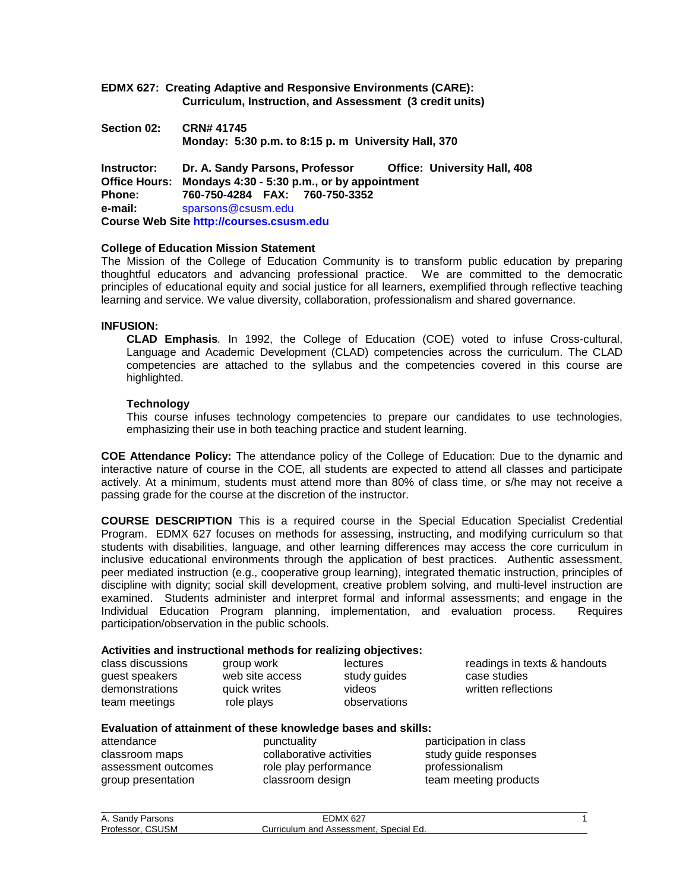- **EDMX 627: Creating Adaptive and Responsive Environments (CARE): Curriculum, Instruction, and Assessment (3 credit units)**
- **Section 02: CRN# 41745 Monday: 5:30 p.m. to 8:15 p. m University Hall, 370**

**Instructor: Dr. A. Sandy Parsons, Professor Office: University Hall, 408 Office Hours: Mondays 4:30 - 5:30 p.m., or by appointment Phone: 760-750-4284 FAX: 760-750-3352 e-mail:** sparsons@csusm.edu **Course Web Site [http://courses.csusm.edu](http://courses.csusm.edu/)**

#### **College of Education Mission Statement**

The Mission of the College of Education Community is to transform public education by preparing thoughtful educators and advancing professional practice. We are committed to the democratic principles of educational equity and social justice for all learners, exemplified through reflective teaching learning and service. We value diversity, collaboration, professionalism and shared governance.

#### **INFUSION:**

**CLAD Emphasis***.* In 1992, the College of Education (COE) voted to infuse Cross-cultural, Language and Academic Development (CLAD) competencies across the curriculum. The CLAD competencies are attached to the syllabus and the competencies covered in this course are highlighted.

#### **Technology**

This course infuses technology competencies to prepare our candidates to use technologies, emphasizing their use in both teaching practice and student learning.

**COE Attendance Policy:** The attendance policy of the College of Education: Due to the dynamic and interactive nature of course in the COE, all students are expected to attend all classes and participate actively. At a minimum, students must attend more than 80% of class time, or s/he may not receive a passing grade for the course at the discretion of the instructor.

**COURSE DESCRIPTION** This is a required course in the Special Education Specialist Credential Program. EDMX 627 focuses on methods for assessing, instructing, and modifying curriculum so that students with disabilities, language, and other learning differences may access the core curriculum in inclusive educational environments through the application of best practices. Authentic assessment, peer mediated instruction (e.g., cooperative group learning), integrated thematic instruction, principles of discipline with dignity; social skill development, creative problem solving, and multi-level instruction are examined. Students administer and interpret formal and informal assessments; and engage in the Individual Education Program planning, implementation, and evaluation process. Requires participation/observation in the public schools.

#### **Activities and instructional methods for realizing objectives:**

| class discussions | group work      | lectures     | readings in texts & handouts |
|-------------------|-----------------|--------------|------------------------------|
| guest speakers    | web site access | study guides | case studies                 |
| demonstrations    | quick writes    | videos       | written reflections          |
| team meetings     | role plays      | observations |                              |

# **Evaluation of attainment of these knowledge bases and skills:**

classroom maps collaborative activities assessment outcomes role play performance professionalism group presentation exclassroom design by team meeting products

participation in class<br>study quide responses

| A. Sandy Parsons | <b>EDMX 627</b>                        |  |
|------------------|----------------------------------------|--|
| Professor, CSUSM | Curriculum and Assessment, Special Ed. |  |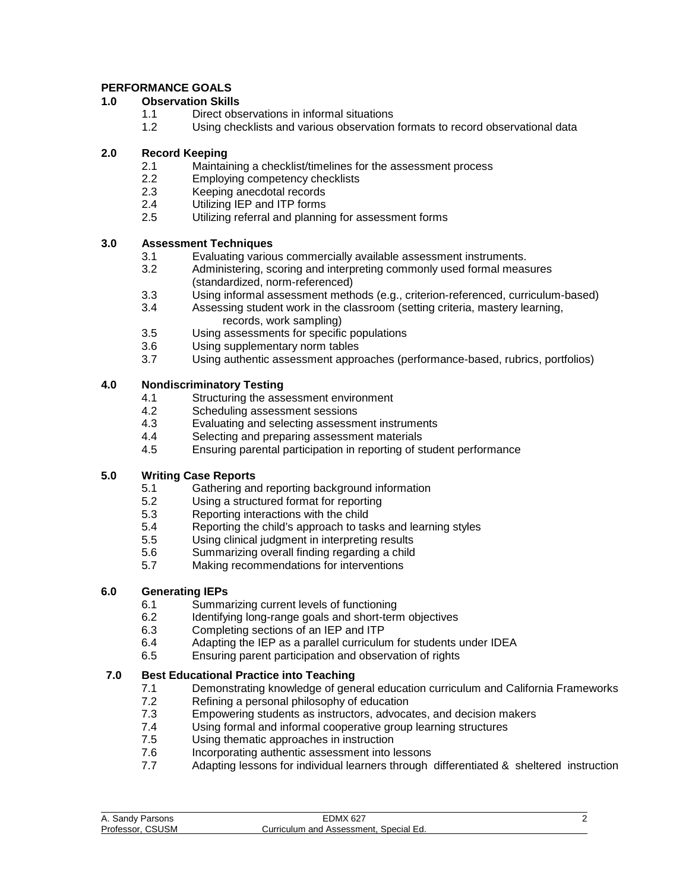# **PERFORMANCE GOALS**

## **1.0 Observation Skills**

- 1.1 Direct observations in informal situations<br>1.2 Using checklists and various observation
- Using checklists and various observation formats to record observational data

## **2.0 Record Keeping**

- 2.1 Maintaining a checklist/timelines for the assessment process
- 2.2 Employing competency checklists
- 2.3 Keeping anecdotal records
- 2.4 Utilizing IEP and ITP forms<br>2.5 Utilizing referral and planning
- Utilizing referral and planning for assessment forms

# **3.0 Assessment Techniques**

- 3.1 Evaluating various commercially available assessment instruments.
- 3.2 Administering, scoring and interpreting commonly used formal measures (standardized, norm-referenced)
- 3.3 Using informal assessment methods (e.g., criterion-referenced, curriculum-based)
- Assessing student work in the classroom (setting criteria, mastery learning, records, work sampling)
- 3.5 Using assessments for specific populations<br>3.6 Using supplementary norm tables
- Using supplementary norm tables
- 3.7 Using authentic assessment approaches (performance-based, rubrics, portfolios)

# **4.0 Nondiscriminatory Testing**

- 4.1 Structuring the assessment environment
- 4.2 Scheduling assessment sessions
- 4.3 Evaluating and selecting assessment instruments
- 4.4 Selecting and preparing assessment materials
- 4.5 Ensuring parental participation in reporting of student performance

# **5.0 Writing Case Reports**

- 5.1 Gathering and reporting background information
- 5.2 Using a structured format for reporting
- 5.3 Reporting interactions with the child<br>5.4 Reporting the child's approach to tas
- 5.4 Reporting the child's approach to tasks and learning styles<br>5.5 Using clinical judgment in interpreting results
- Using clinical judgment in interpreting results
- 5.6 Summarizing overall finding regarding a child
- 5.7 Making recommendations for interventions

# **6.0 Generating IEPs**

- 6.1 Summarizing current levels of functioning<br>6.2 Identifying long-range goals and short-terre
- 6.2 Identifying long-range goals and short-term objectives<br>6.3 Completing sections of an IEP and ITP
- Completing sections of an IEP and ITP
- 6.4 Adapting the IEP as a parallel curriculum for students under IDEA
- 6.5 Ensuring parent participation and observation of rights

# **7.0 Best Educational Practice into Teaching**

- 7.1 Demonstrating knowledge of general education curriculum and California Frameworks
- 7.2 Refining a personal philosophy of education<br>7.3 Empowering students as instructors, advoca Empowering students as instructors, advocates, and decision makers
- 7.4 Using formal and informal cooperative group learning structures
- 7.5 Using thematic approaches in instruction
- 7.6 Incorporating authentic assessment into lessons
- 7.7 Adapting lessons for individual learners through differentiated & sheltered instruction

| A. Sandy Parsons    | <b>EDMX 627</b>                        |  |
|---------------------|----------------------------------------|--|
| CSUSM<br>Professor. | Curriculum and Assessment. Special Ed. |  |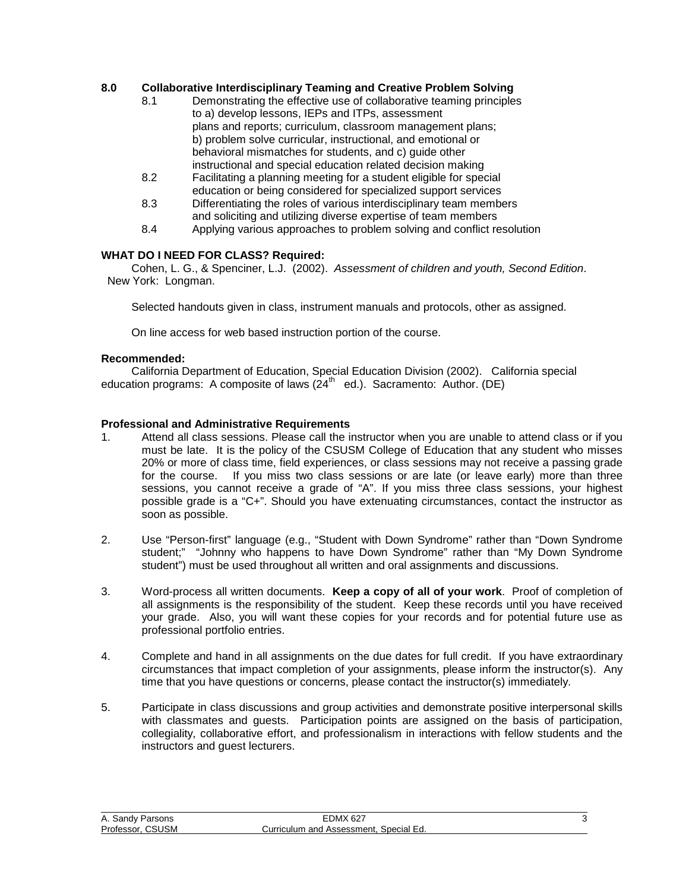## **8.0 Collaborative Interdisciplinary Teaming and Creative Problem Solving**

- 8.1 Demonstrating the effective use of collaborative teaming principles to a) develop lessons, IEPs and ITPs, assessment plans and reports; curriculum, classroom management plans; b) problem solve curricular, instructional, and emotional or behavioral mismatches for students, and c) guide other instructional and special education related decision making
- 8.2 Facilitating a planning meeting for a student eligible for special education or being considered for specialized support services
- 8.3 Differentiating the roles of various interdisciplinary team members and soliciting and utilizing diverse expertise of team members
- 8.4 Applying various approaches to problem solving and conflict resolution

### **WHAT DO I NEED FOR CLASS? Required:**

Cohen, L. G., & Spenciner, L.J. (2002). *Assessment of children and youth, Second Edition*. New York: Longman.

Selected handouts given in class, instrument manuals and protocols, other as assigned.

On line access for web based instruction portion of the course.

#### **Recommended:**

California Department of Education, Special Education Division (2002). California special education programs: A composite of laws  $(24<sup>th</sup>$  ed.). Sacramento: Author. (DE)

#### **Professional and Administrative Requirements**

- 1. Attend all class sessions. Please call the instructor when you are unable to attend class or if you must be late. It is the policy of the CSUSM College of Education that any student who misses 20% or more of class time, field experiences, or class sessions may not receive a passing grade for the course. If you miss two class sessions or are late (or leave early) more than three sessions, you cannot receive a grade of "A". If you miss three class sessions, your highest possible grade is a "C+". Should you have extenuating circumstances, contact the instructor as soon as possible.
- 2. Use "Person-first" language (e.g., "Student with Down Syndrome" rather than "Down Syndrome student;" "Johnny who happens to have Down Syndrome" rather than "My Down Syndrome student") must be used throughout all written and oral assignments and discussions.
- 3. Word-process all written documents. **Keep a copy of all of your work**. Proof of completion of all assignments is the responsibility of the student. Keep these records until you have received your grade. Also, you will want these copies for your records and for potential future use as professional portfolio entries.
- 4. Complete and hand in all assignments on the due dates for full credit. If you have extraordinary circumstances that impact completion of your assignments, please inform the instructor(s). Any time that you have questions or concerns, please contact the instructor(s) immediately.
- 5. Participate in class discussions and group activities and demonstrate positive interpersonal skills with classmates and guests. Participation points are assigned on the basis of participation, collegiality, collaborative effort, and professionalism in interactions with fellow students and the instructors and guest lecturers.

| A. Sandy Parsons    | EDMX<br>0.627                             |  |
|---------------------|-------------------------------------------|--|
| Professor.<br>CSUSM | Curriculum and Assessment.<br>Special Ed. |  |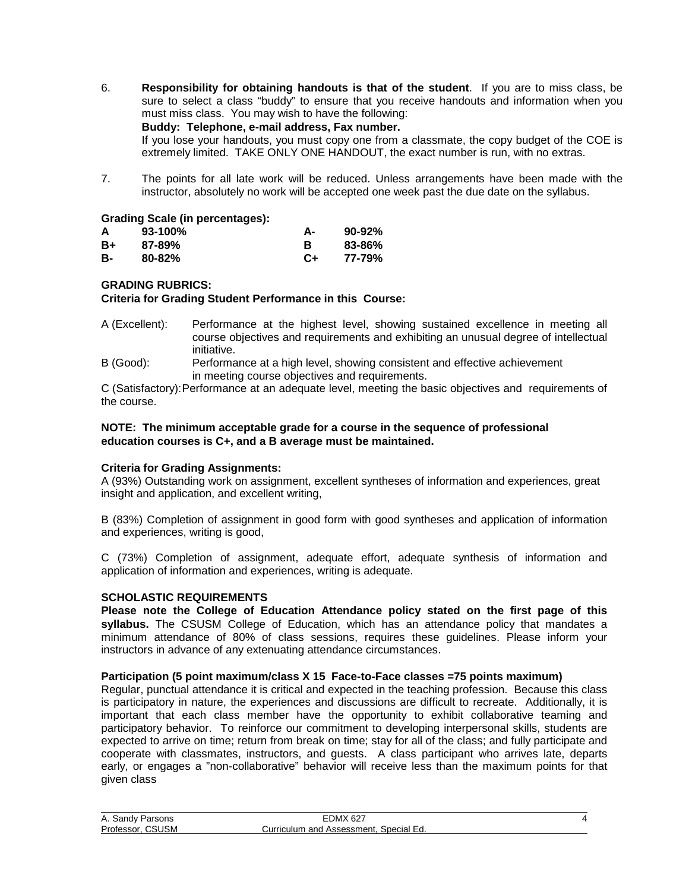- 6. **Responsibility for obtaining handouts is that of the student**. If you are to miss class, be sure to select a class "buddy" to ensure that you receive handouts and information when you must miss class. You may wish to have the following: **Buddy: Telephone, e-mail address, Fax number.**  If you lose your handouts, you must copy one from a classmate, the copy budget of the COE is extremely limited. TAKE ONLY ONE HANDOUT, the exact number is run, with no extras.
- 7. The points for all late work will be reduced. Unless arrangements have been made with the instructor, absolutely no work will be accepted one week past the due date on the syllabus.

#### **Grading Scale (in percentages):**

| A  | $93-100\%$ | А-   | $90 - 92\%$ |
|----|------------|------|-------------|
| B+ | $87 - 89%$ |      | 83-86%      |
| в- | $80 - 82%$ | $C+$ | 77-79%      |

#### **GRADING RUBRICS:**

#### **Criteria for Grading Student Performance in this Course:**

- A (Excellent): Performance at the highest level, showing sustained excellence in meeting all course objectives and requirements and exhibiting an unusual degree of intellectual initiative.
- B (Good): Performance at a high level, showing consistent and effective achievement in meeting course objectives and requirements.

C (Satisfactory):Performance at an adequate level, meeting the basic objectives and requirements of the course.

#### **NOTE: The minimum acceptable grade for a course in the sequence of professional education courses is C+, and a B average must be maintained.**

#### **Criteria for Grading Assignments:**

A (93%) Outstanding work on assignment, excellent syntheses of information and experiences, great insight and application, and excellent writing,

B (83%) Completion of assignment in good form with good syntheses and application of information and experiences, writing is good,

C (73%) Completion of assignment, adequate effort, adequate synthesis of information and application of information and experiences, writing is adequate.

#### **SCHOLASTIC REQUIREMENTS**

**Please note the College of Education Attendance policy stated on the first page of this syllabus.** The CSUSM College of Education, which has an attendance policy that mandates a minimum attendance of 80% of class sessions, requires these guidelines. Please inform your instructors in advance of any extenuating attendance circumstances.

#### **Participation (5 point maximum/class X 15 Face-to-Face classes =75 points maximum)**

Regular, punctual attendance it is critical and expected in the teaching profession. Because this class is participatory in nature, the experiences and discussions are difficult to recreate. Additionally, it is important that each class member have the opportunity to exhibit collaborative teaming and participatory behavior. To reinforce our commitment to developing interpersonal skills, students are expected to arrive on time; return from break on time; stay for all of the class; and fully participate and cooperate with classmates, instructors, and guests. A class participant who arrives late, departs early, or engages a "non-collaborative" behavior will receive less than the maximum points for that given class

| A. Sandy Parsons    | <b>EDMX 627</b>                           |  |
|---------------------|-------------------------------------------|--|
| CSUSM<br>Professor. | Special Ed.<br>Curriculum and Assessment. |  |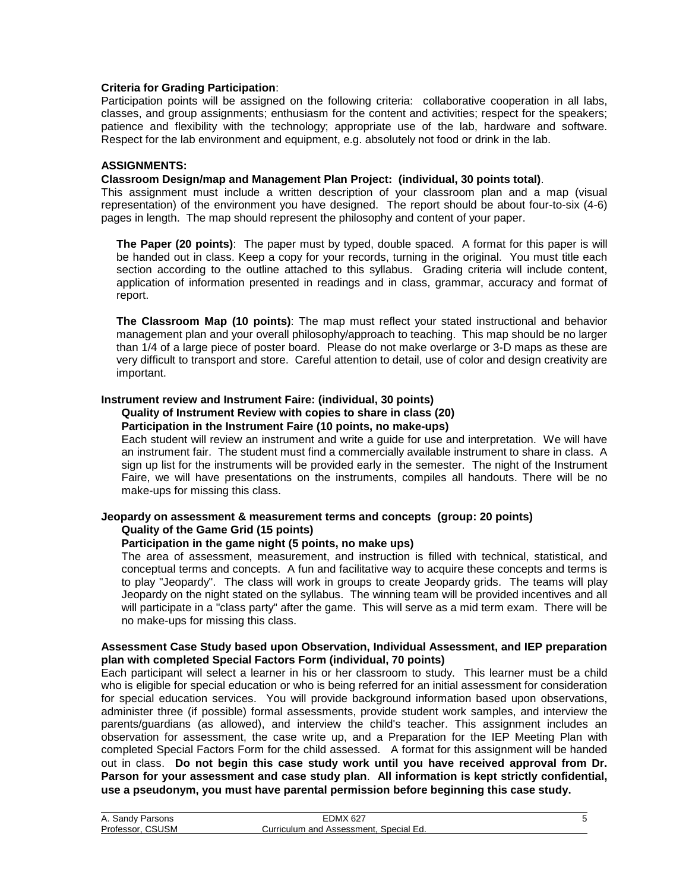#### **Criteria for Grading Participation**:

Participation points will be assigned on the following criteria: collaborative cooperation in all labs, classes, and group assignments; enthusiasm for the content and activities; respect for the speakers; patience and flexibility with the technology; appropriate use of the lab, hardware and software. Respect for the lab environment and equipment, e.g. absolutely not food or drink in the lab.

#### **ASSIGNMENTS:**

#### **Classroom Design/map and Management Plan Project: (individual, 30 points total)**.

This assignment must include a written description of your classroom plan and a map (visual representation) of the environment you have designed. The report should be about four-to-six (4-6) pages in length. The map should represent the philosophy and content of your paper.

**The Paper (20 points)**: The paper must by typed, double spaced. A format for this paper is will be handed out in class. Keep a copy for your records, turning in the original. You must title each section according to the outline attached to this syllabus. Grading criteria will include content, application of information presented in readings and in class, grammar, accuracy and format of report.

**The Classroom Map (10 points)**: The map must reflect your stated instructional and behavior management plan and your overall philosophy/approach to teaching. This map should be no larger than 1/4 of a large piece of poster board. Please do not make overlarge or 3-D maps as these are very difficult to transport and store. Careful attention to detail, use of color and design creativity are important.

#### **Instrument review and Instrument Faire: (individual, 30 points)**

#### **Quality of Instrument Review with copies to share in class (20)**

### **Participation in the Instrument Faire (10 points, no make-ups)**

Each student will review an instrument and write a guide for use and interpretation. We will have an instrument fair. The student must find a commercially available instrument to share in class. A sign up list for the instruments will be provided early in the semester. The night of the Instrument Faire, we will have presentations on the instruments, compiles all handouts. There will be no make-ups for missing this class.

#### **Jeopardy on assessment & measurement terms and concepts (group: 20 points) Quality of the Game Grid (15 points)**

#### **Participation in the game night (5 points, no make ups)**

The area of assessment, measurement, and instruction is filled with technical, statistical, and conceptual terms and concepts. A fun and facilitative way to acquire these concepts and terms is to play "Jeopardy". The class will work in groups to create Jeopardy grids. The teams will play Jeopardy on the night stated on the syllabus. The winning team will be provided incentives and all will participate in a "class party" after the game. This will serve as a mid term exam. There will be no make-ups for missing this class.

#### **Assessment Case Study based upon Observation, Individual Assessment, and IEP preparation plan with completed Special Factors Form (individual, 70 points)**

Each participant will select a learner in his or her classroom to study. This learner must be a child who is eligible for special education or who is being referred for an initial assessment for consideration for special education services. You will provide background information based upon observations, administer three (if possible) formal assessments, provide student work samples, and interview the parents/guardians (as allowed), and interview the child's teacher. This assignment includes an observation for assessment, the case write up, and a Preparation for the IEP Meeting Plan with completed Special Factors Form for the child assessed. A format for this assignment will be handed out in class. **Do not begin this case study work until you have received approval from Dr. Parson for your assessment and case study plan**. **All information is kept strictly confidential, use a pseudonym, you must have parental permission before beginning this case study.**

| A. Sandy Parsons           | $\angle$ DMX 627                       |  |
|----------------------------|----------------------------------------|--|
| <b>CSUSM</b><br>Professor. | Curriculum and Assessment, Special Ed. |  |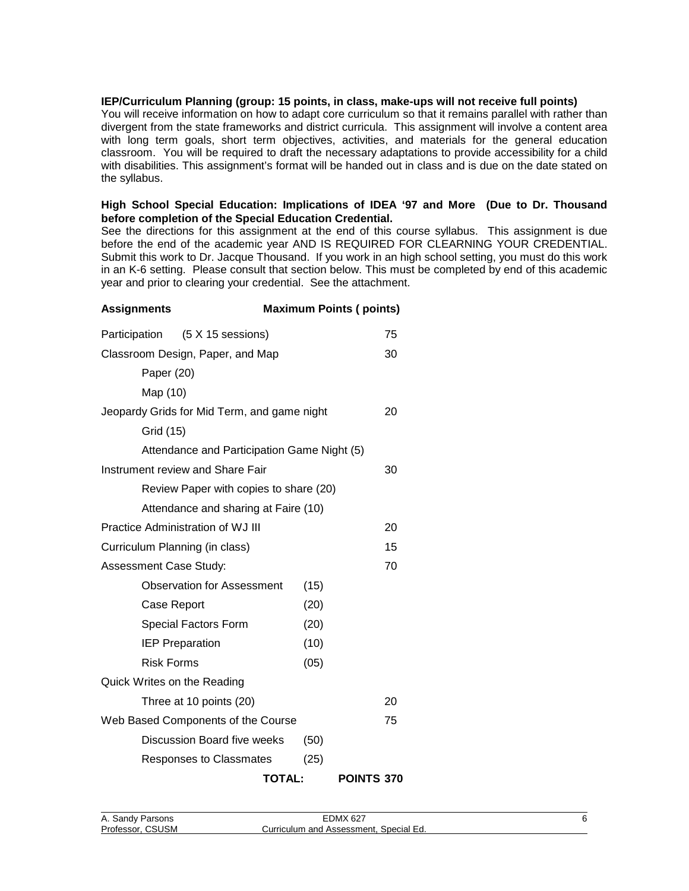#### **IEP/Curriculum Planning (group: 15 points, in class, make-ups will not receive full points)**

You will receive information on how to adapt core curriculum so that it remains parallel with rather than divergent from the state frameworks and district curricula. This assignment will involve a content area with long term goals, short term objectives, activities, and materials for the general education classroom. You will be required to draft the necessary adaptations to provide accessibility for a child with disabilities. This assignment's format will be handed out in class and is due on the date stated on the syllabus.

#### **High School Special Education: Implications of IDEA '97 and More (Due to Dr. Thousand before completion of the Special Education Credential.**

See the directions for this assignment at the end of this course syllabus. This assignment is due before the end of the academic year AND IS REQUIRED FOR CLEARNING YOUR CREDENTIAL. Submit this work to Dr. Jacque Thousand. If you work in an high school setting, you must do this work in an K-6 setting. Please consult that section below. This must be completed by end of this academic year and prior to clearing your credential. See the attachment.

| <b>Maximum Points (points)</b><br><b>Assignments</b> |                                             |      |                   |
|------------------------------------------------------|---------------------------------------------|------|-------------------|
|                                                      | Participation (5 X 15 sessions)             |      | 75                |
|                                                      | Classroom Design, Paper, and Map            |      | 30                |
| Paper (20)                                           |                                             |      |                   |
| Map (10)                                             |                                             |      |                   |
|                                                      | Jeopardy Grids for Mid Term, and game night |      | 20                |
| Grid (15)                                            |                                             |      |                   |
|                                                      | Attendance and Participation Game Night (5) |      |                   |
|                                                      | Instrument review and Share Fair            |      | 30                |
|                                                      | Review Paper with copies to share (20)      |      |                   |
|                                                      | Attendance and sharing at Faire (10)        |      |                   |
|                                                      | <b>Practice Administration of WJ III</b>    |      | 20                |
| Curriculum Planning (in class)                       |                                             |      | 15                |
| Assessment Case Study:                               |                                             |      | 70                |
|                                                      | <b>Observation for Assessment</b>           | (15) |                   |
| Case Report                                          |                                             | (20) |                   |
|                                                      | Special Factors Form                        | (20) |                   |
|                                                      | <b>IEP Preparation</b>                      | (10) |                   |
| <b>Risk Forms</b>                                    |                                             | (05) |                   |
| Quick Writes on the Reading                          |                                             |      |                   |
|                                                      | Three at 10 points (20)                     |      | 20                |
|                                                      | Web Based Components of the Course          |      | 75                |
|                                                      | Discussion Board five weeks                 | (50) |                   |
|                                                      | Responses to Classmates                     | (25) |                   |
|                                                      | TOTAL:                                      |      | <b>POINTS 370</b> |

| A. Sandy Parsons | <b>EDMX 627</b>                        |  |
|------------------|----------------------------------------|--|
| Professor, CSUSM | Curriculum and Assessment, Special Ed. |  |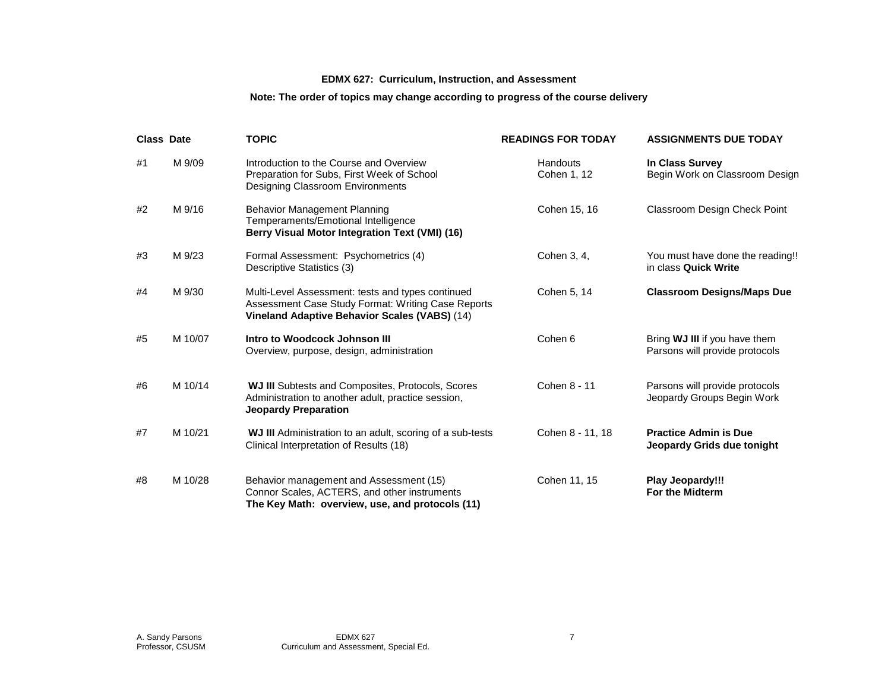# **EDMX 627: Curriculum, Instruction, and Assessment**

# **Note: The order of topics may change according to progress of the course delivery**

| <b>Class Date</b> |         | <b>TOPIC</b>                                                                                                                                             | <b>READINGS FOR TODAY</b> | <b>ASSIGNMENTS DUE TODAY</b>                                    |
|-------------------|---------|----------------------------------------------------------------------------------------------------------------------------------------------------------|---------------------------|-----------------------------------------------------------------|
| #1                | M 9/09  | Introduction to the Course and Overview<br>Preparation for Subs, First Week of School<br><b>Designing Classroom Environments</b>                         | Handouts<br>Cohen 1, 12   | In Class Survey<br>Begin Work on Classroom Design               |
| #2                | M 9/16  | <b>Behavior Management Planning</b><br>Temperaments/Emotional Intelligence<br>Berry Visual Motor Integration Text (VMI) (16)                             | Cohen 15, 16              | <b>Classroom Design Check Point</b>                             |
| #3                | M 9/23  | Formal Assessment: Psychometrics (4)<br>Descriptive Statistics (3)                                                                                       | Cohen 3, 4,               | You must have done the reading!!<br>in class Quick Write        |
| #4                | M 9/30  | Multi-Level Assessment: tests and types continued<br>Assessment Case Study Format: Writing Case Reports<br>Vineland Adaptive Behavior Scales (VABS) (14) | Cohen 5, 14               | <b>Classroom Designs/Maps Due</b>                               |
| #5                | M 10/07 | Intro to Woodcock Johnson III<br>Overview, purpose, design, administration                                                                               | Cohen 6                   | Bring WJ III if you have them<br>Parsons will provide protocols |
| #6                | M 10/14 | <b>WJ III</b> Subtests and Composites, Protocols, Scores<br>Administration to another adult, practice session,<br><b>Jeopardy Preparation</b>            | Cohen 8 - 11              | Parsons will provide protocols<br>Jeopardy Groups Begin Work    |
| #7                | M 10/21 | WJ III Administration to an adult, scoring of a sub-tests<br>Clinical Interpretation of Results (18)                                                     | Cohen 8 - 11, 18          | <b>Practice Admin is Due</b><br>Jeopardy Grids due tonight      |
| #8                | M 10/28 | Behavior management and Assessment (15)<br>Connor Scales, ACTERS, and other instruments<br>The Key Math: overview, use, and protocols (11)               | Cohen 11, 15              | Play Jeopardy!!!<br><b>For the Midterm</b>                      |